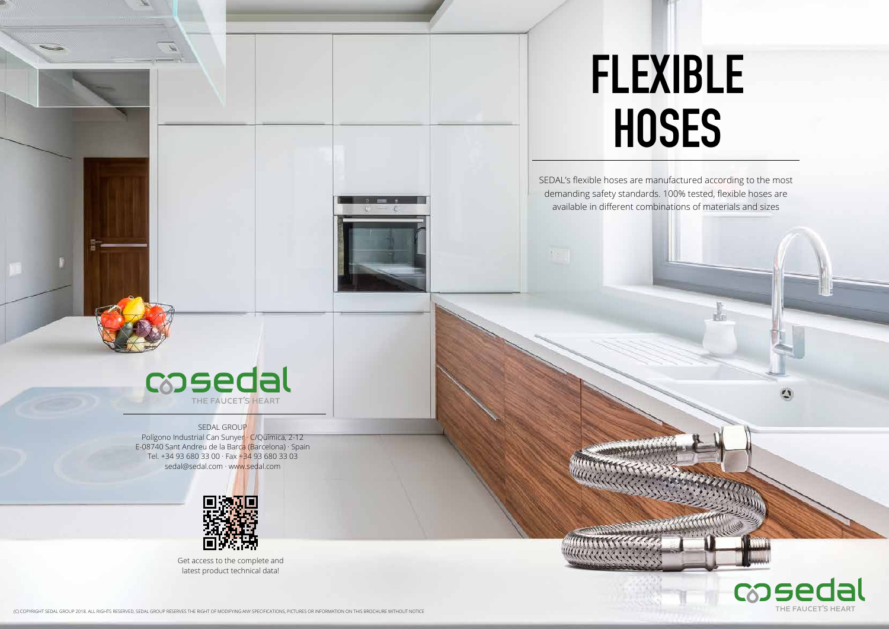SEDAL's flexible hoses are manufactured according to the most demanding safety standards. 100% tested, flexible hoses are available in different combinations of materials and sizes



#### SEDAL GROUP

# **FLEXIBLE HOSES**

(C) COPYRIGHT SEDAL GROUP 2018. ALL RIGHTS RESERVED, SEDAL GROUP RESERVES THE RIGHT OF MODIFYING ANY SPECIFICATIONS, PICTURES OR INFORMATION ON THIS BROCHURE WITHOUT NOTICE



Polígono Industrial Can Sunyer · C/Química, 2-12 E-08740 Sant Andreu de la Barca (Barcelona) · Spain Tel. +34 93 680 33 00 · Fax +34 93 680 33 03 sedal@sedal.com · www.sedal.com



Get access to the complete and latest product technical data!